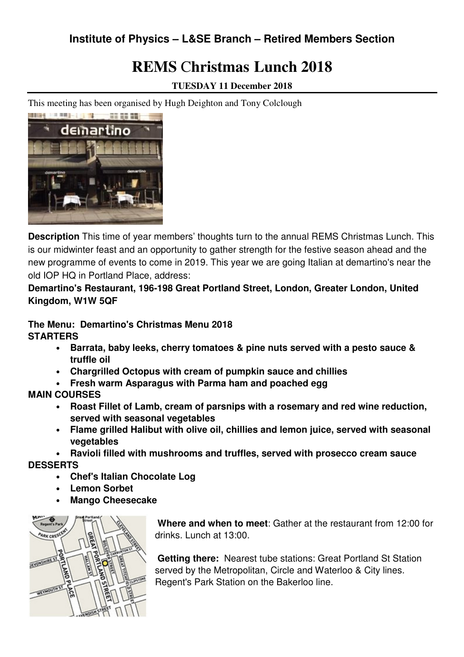## **Institute of Physics – L&SE Branch – Retired Members Section**

# **REMS** C**hristmas Lunch 2018**

**TUESDAY 11 December 2018** 

This meeting has been organised by Hugh Deighton and Tony Colclough



**Description** This time of year members' thoughts turn to the annual REMS Christmas Lunch. This is our midwinter feast and an opportunity to gather strength for the festive season ahead and the new programme of events to come in 2019. This year we are going Italian at demartino's near the old IOP HQ in Portland Place, address:

**Demartino's Restaurant, 196-198 Great Portland Street, London, Greater London, United Kingdom, W1W 5QF** 

#### **The Menu: Demartino's Christmas Menu 2018 STARTERS**

- **Barrata, baby leeks, cherry tomatoes & pine nuts served with a pesto sauce & truffle oil**
- **Chargrilled Octopus with cream of pumpkin sauce and chillies**
- **Fresh warm Asparagus with Parma ham and poached egg**

### **MAIN COURSES**

- **Roast Fillet of Lamb, cream of parsnips with a rosemary and red wine reduction, served with seasonal vegetables**
- **Flame grilled Halibut with olive oil, chillies and lemon juice, served with seasonal vegetables**
- **Ravioli filled with mushrooms and truffles, served with prosecco cream sauce**

**DESSERTS**

- **Chef's Italian Chocolate Log**
- **Lemon Sorbet**
- **Mango Cheesecake**



 **Where and when to meet**: Gather at the restaurant from 12:00 for drinks. Lunch at 13:00.

**Getting there:** Nearest tube stations: Great Portland St Station served by the Metropolitan, Circle and Waterloo & City lines. Regent's Park Station on the Bakerloo line.